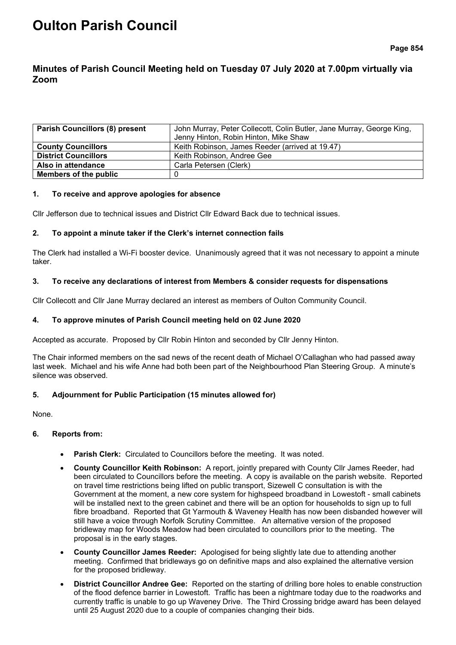# **Oulton Parish Council**

# **Minutes of Parish Council Meeting held on Tuesday 07 July 2020 at 7.00pm virtually via Zoom**

| <b>Parish Councillors (8) present</b> | John Murray, Peter Collecott, Colin Butler, Jane Murray, George King, |  |
|---------------------------------------|-----------------------------------------------------------------------|--|
|                                       | Jenny Hinton, Robin Hinton, Mike Shaw                                 |  |
| <b>County Councillors</b>             | Keith Robinson, James Reeder (arrived at 19.47)                       |  |
| <b>District Councillors</b>           | Keith Robinson, Andree Gee                                            |  |
| Also in attendance                    | Carla Petersen (Clerk)                                                |  |
| <b>Members of the public</b>          |                                                                       |  |

#### **1. To receive and approve apologies for absence**

Cllr Jefferson due to technical issues and District Cllr Edward Back due to technical issues.

#### **2. To appoint a minute taker if the Clerk's internet connection fails**

The Clerk had installed a Wi-Fi booster device. Unanimously agreed that it was not necessary to appoint a minute taker.

# **3. To receive any declarations of interest from Members & consider requests for dispensations**

Cllr Collecott and Cllr Jane Murray declared an interest as members of Oulton Community Council.

# **4. To approve minutes of Parish Council meeting held on 02 June 2020**

Accepted as accurate. Proposed by Cllr Robin Hinton and seconded by Cllr Jenny Hinton.

The Chair informed members on the sad news of the recent death of Michael O'Callaghan who had passed away last week. Michael and his wife Anne had both been part of the Neighbourhood Plan Steering Group. A minute's silence was observed.

# **5. Adjournment for Public Participation (15 minutes allowed for)**

None.

#### **6. Reports from:**

- **Parish Clerk:** Circulated to Councillors before the meeting. It was noted.
- **County Councillor Keith Robinson:** A report, jointly prepared with County Cllr James Reeder, had been circulated to Councillors before the meeting. A copy is available on the parish website. Reported on travel time restrictions being lifted on public transport, Sizewell C consultation is with the Government at the moment, a new core system for highspeed broadband in Lowestoft - small cabinets will be installed next to the green cabinet and there will be an option for households to sign up to full fibre broadband. Reported that Gt Yarmouth & Waveney Health has now been disbanded however will still have a voice through Norfolk Scrutiny Committee. An alternative version of the proposed bridleway map for Woods Meadow had been circulated to councillors prior to the meeting. The proposal is in the early stages.
- **County Councillor James Reeder:** Apologised for being slightly late due to attending another meeting. Confirmed that bridleways go on definitive maps and also explained the alternative version for the proposed bridleway.
- **District Councillor Andree Gee:** Reported on the starting of drilling bore holes to enable construction of the flood defence barrier in Lowestoft. Traffic has been a nightmare today due to the roadworks and currently traffic is unable to go up Waveney Drive. The Third Crossing bridge award has been delayed until 25 August 2020 due to a couple of companies changing their bids.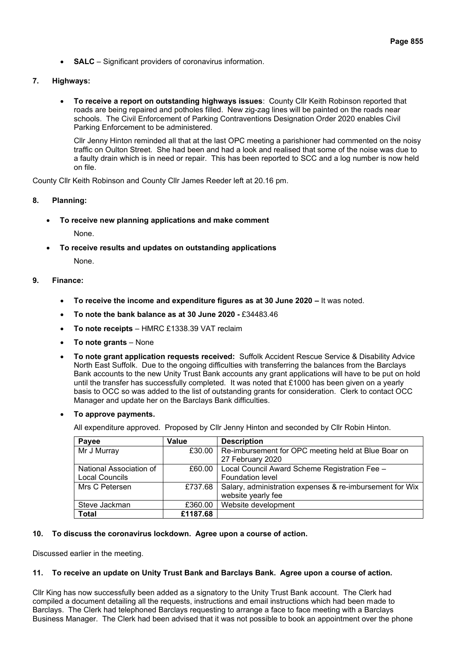- **SALC** Significant providers of coronavirus information.
- **7. Highways:**
	- **To receive a report on outstanding highways issues**:County Cllr Keith Robinson reported that roads are being repaired and potholes filled. New zig-zag lines will be painted on the roads near schools. The Civil Enforcement of Parking Contraventions Designation Order 2020 enables Civil Parking Enforcement to be administered.

Cllr Jenny Hinton reminded all that at the last OPC meeting a parishioner had commented on the noisy traffic on Oulton Street. She had been and had a look and realised that some of the noise was due to a faulty drain which is in need or repair. This has been reported to SCC and a log number is now held on file.

County Cllr Keith Robinson and County Cllr James Reeder left at 20.16 pm.

# **8. Planning:**

• **To receive new planning applications and make comment**

None.

• **To receive results and updates on outstanding applications**

None.

# **9. Finance:**

- **To receive the income and expenditure figures as at 30 June 2020 –** It was noted.
- **To note the bank balance as at 30 June 2020 -** £34483.46
- **To note receipts** HMRC £1338.39 VAT reclaim
- **To note grants** None
- **To note grant application requests received:** Suffolk Accident Rescue Service & Disability Advice North East Suffolk. Due to the ongoing difficulties with transferring the balances from the Barclays Bank accounts to the new Unity Trust Bank accounts any grant applications will have to be put on hold until the transfer has successfully completed. It was noted that £1000 has been given on a yearly basis to OCC so was added to the list of outstanding grants for consideration. Clerk to contact OCC Manager and update her on the Barclays Bank difficulties.
- **To approve payments.**

All expenditure approved. Proposed by Cllr Jenny Hinton and seconded by Cllr Robin Hinton.

| Payee                   | Value    | <b>Description</b>                                               |
|-------------------------|----------|------------------------------------------------------------------|
| Mr J Murray             |          | £30.00   Re-imbursement for OPC meeting held at Blue Boar on     |
|                         |          | 27 February 2020                                                 |
| National Association of |          | £60.00   Local Council Award Scheme Registration Fee -           |
| <b>Local Councils</b>   |          | Foundation level                                                 |
| Mrs C Petersen          |          | £737.68 Salary, administration expenses & re-imbursement for Wix |
|                         |          | website yearly fee                                               |
| Steve Jackman           | £360.00  | Website development                                              |
| <b>Total</b>            | £1187.68 |                                                                  |

#### **10. To discuss the coronavirus lockdown. Agree upon a course of action.**

Discussed earlier in the meeting.

#### **11. To receive an update on Unity Trust Bank and Barclays Bank. Agree upon a course of action.**

Cllr King has now successfully been added as a signatory to the Unity Trust Bank account. The Clerk had compiled a document detailing all the requests, instructions and email instructions which had been made to Barclays. The Clerk had telephoned Barclays requesting to arrange a face to face meeting with a Barclays Business Manager. The Clerk had been advised that it was not possible to book an appointment over the phone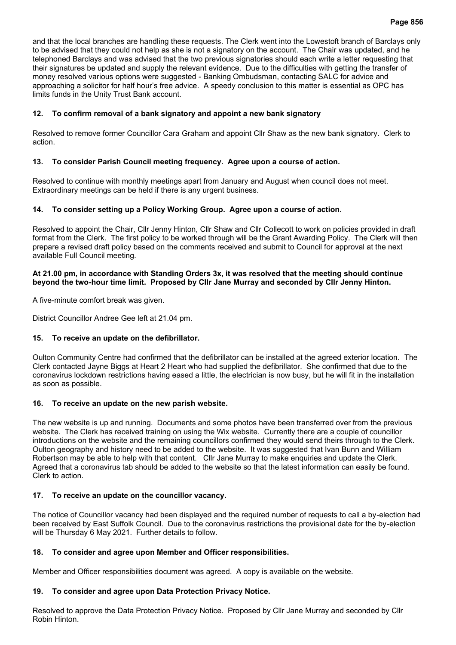and that the local branches are handling these requests. The Clerk went into the Lowestoft branch of Barclays only to be advised that they could not help as she is not a signatory on the account. The Chair was updated, and he telephoned Barclays and was advised that the two previous signatories should each write a letter requesting that their signatures be updated and supply the relevant evidence. Due to the difficulties with getting the transfer of money resolved various options were suggested - Banking Ombudsman, contacting SALC for advice and approaching a solicitor for half hour's free advice. A speedy conclusion to this matter is essential as OPC has limits funds in the Unity Trust Bank account.

# **12. To confirm removal of a bank signatory and appoint a new bank signatory**

Resolved to remove former Councillor Cara Graham and appoint Cllr Shaw as the new bank signatory. Clerk to action.

# **13. To consider Parish Council meeting frequency. Agree upon a course of action.**

Resolved to continue with monthly meetings apart from January and August when council does not meet. Extraordinary meetings can be held if there is any urgent business.

# **14. To consider setting up a Policy Working Group. Agree upon a course of action.**

Resolved to appoint the Chair, Cllr Jenny Hinton, Cllr Shaw and Cllr Collecott to work on policies provided in draft format from the Clerk. The first policy to be worked through will be the Grant Awarding Policy. The Clerk will then prepare a revised draft policy based on the comments received and submit to Council for approval at the next available Full Council meeting.

# **At 21.00 pm, in accordance with Standing Orders 3x, it was resolved that the meeting should continue beyond the two-hour time limit. Proposed by Cllr Jane Murray and seconded by Cllr Jenny Hinton.**

A five-minute comfort break was given.

District Councillor Andree Gee left at 21.04 pm.

# **15. To receive an update on the defibrillator.**

Oulton Community Centre had confirmed that the defibrillator can be installed at the agreed exterior location. The Clerk contacted Jayne Biggs at Heart 2 Heart who had supplied the defibrillator. She confirmed that due to the coronavirus lockdown restrictions having eased a little, the electrician is now busy, but he will fit in the installation as soon as possible.

# **16. To receive an update on the new parish website.**

The new website is up and running. Documents and some photos have been transferred over from the previous website. The Clerk has received training on using the Wix website. Currently there are a couple of councillor introductions on the website and the remaining councillors confirmed they would send theirs through to the Clerk. Oulton geography and history need to be added to the website. It was suggested that Ivan Bunn and William Robertson may be able to help with that content. Cllr Jane Murray to make enquiries and update the Clerk. Agreed that a coronavirus tab should be added to the website so that the latest information can easily be found. Clerk to action.

# **17. To receive an update on the councillor vacancy.**

The notice of Councillor vacancy had been displayed and the required number of requests to call a by-election had been received by East Suffolk Council. Due to the coronavirus restrictions the provisional date for the by-election will be Thursday 6 May 2021. Further details to follow.

# **18. To consider and agree upon Member and Officer responsibilities.**

Member and Officer responsibilities document was agreed. A copy is available on the website.

# **19. To consider and agree upon Data Protection Privacy Notice.**

Resolved to approve the Data Protection Privacy Notice. Proposed by Cllr Jane Murray and seconded by Cllr Robin Hinton.